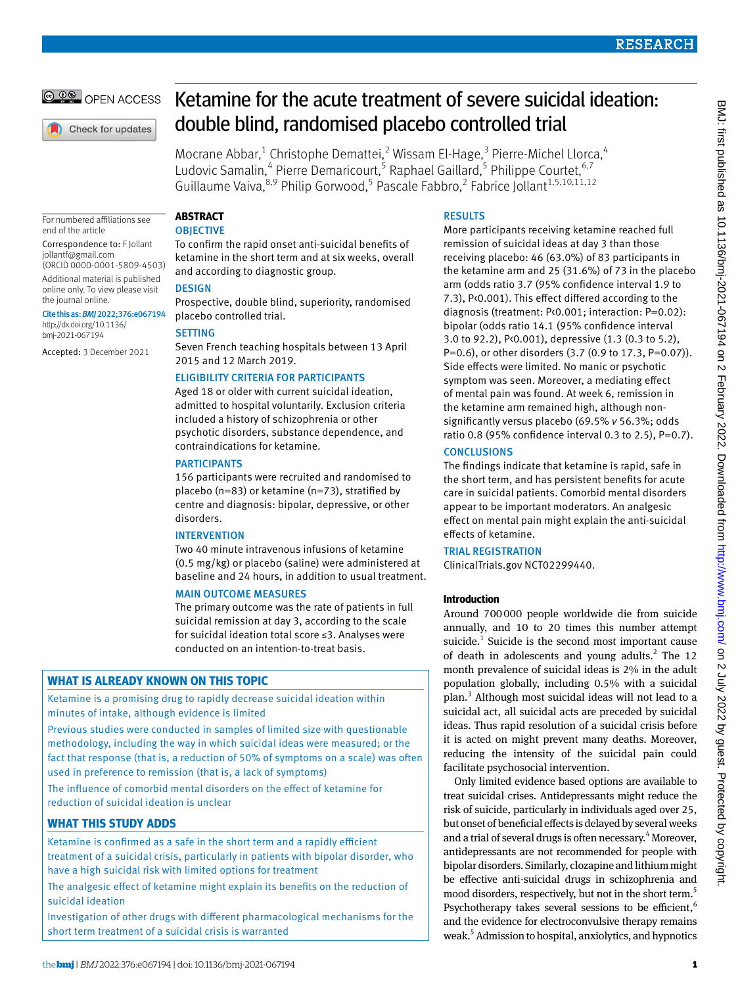

Check for updates

# Ketamine for the acute treatment of severe suicidal ideation: double blind, randomised placebo controlled trial

Mocrane Abbar,<sup>1</sup> Christophe Demattei,<sup>2</sup> Wissam El-Hage,<sup>3</sup> Pierre-Michel Llorca,<sup>4</sup> Ludovic Samalin,<sup>4</sup> Pierre Demaricourt,<sup>5</sup> Raphael Gaillard,<sup>5</sup> Philippe Courtet,<sup>6,7</sup> Guillaume Vaiva, <sup>8,9</sup> Philip Gorwood, <sup>5</sup> Pascale Fabbro, <sup>2</sup> Fabrice Jollant<sup>1,5,10,11,12</sup>

For numbered affiliations see end of the article

Correspondence to: F Jollant [jollantf@gmail.com](mailto:jollantf@gmail.com)

(ORCID [0000-0001-5809-4503](https://orcid.org/0000-0001-5809-4503)) Additional material is published online only. To view please visit

the journal online. Cite this as: *BMJ*2022;376:e067194 [http://dx.doi.org/10.1136/](https://dx.doi.org/10.1136/bmj-2021-067194) [bmj-2021-067194](https://dx.doi.org/10.1136/bmj-2021-067194)

Accepted: 3 December 2021

## **Abstract**

## **OBJECTIVE**

To confirm the rapid onset anti-suicidal benefits of ketamine in the short term and at six weeks, overall and according to diagnostic group.

## **DESIGN**

Prospective, double blind, superiority, randomised placebo controlled trial.

## **SETTING**

Seven French teaching hospitals between 13 April 2015 and 12 March 2019.

## Eligibility criteria for participants

Aged 18 or older with current suicidal ideation, admitted to hospital voluntarily. Exclusion criteria included a history of schizophrenia or other psychotic disorders, substance dependence, and contraindications for ketamine.

## **PARTICIPANTS**

156 participants were recruited and randomised to placebo (n=83) or ketamine (n=73), stratified by centre and diagnosis: bipolar, depressive, or other disorders.

## **INTERVENTION**

Two 40 minute intravenous infusions of ketamine (0.5 mg/kg) or placebo (saline) were administered at baseline and 24 hours, in addition to usual treatment.

## Main outcome measures

The primary outcome was the rate of patients in full suicidal remission at day 3, according to the scale for suicidal ideation total score ≤3. Analyses were conducted on an intention-to-treat basis.

## **What is already known on this topic**

Ketamine is a promising drug to rapidly decrease suicidal ideation within minutes of intake, although evidence is limited

Previous studies were conducted in samples of limited size with questionable methodology, including the way in which suicidal ideas were measured; or the fact that response (that is, a reduction of 50% of symptoms on a scale) was often used in preference to remission (that is, a lack of symptoms)

The influence of comorbid mental disorders on the effect of ketamine for reduction of suicidal ideation is unclear

## **What this study adds**

Ketamine is confirmed as a safe in the short term and a rapidly efficient treatment of a suicidal crisis, particularly in patients with bipolar disorder, who have a high suicidal risk with limited options for treatment

The analgesic effect of ketamine might explain its benefits on the reduction of suicidal ideation

Investigation of other drugs with different pharmacological mechanisms for the short term treatment of a suicidal crisis is warranted

## **RESULTS**

More participants receiving ketamine reached full remission of suicidal ideas at day 3 than those receiving placebo: 46 (63.0%) of 83 participants in the ketamine arm and 25 (31.6%) of 73 in the placebo arm (odds ratio 3.7 (95% confidence interval 1.9 to 7.3), P<0.001). This effect differed according to the diagnosis (treatment: P<0.001; interaction: P=0.02): bipolar (odds ratio 14.1 (95% confidence interval 3.0 to 92.2), P<0.001), depressive (1.3 (0.3 to 5.2), P=0.6), or other disorders (3.7 (0.9 to 17.3, P=0.07)). Side effects were limited. No manic or psychotic symptom was seen. Moreover, a mediating effect of mental pain was found. At week 6, remission in the ketamine arm remained high, although nonsignificantly versus placebo (69.5% *v* 56.3%; odds ratio 0.8 (95% confidence interval 0.3 to 2.5), P=0.7).

## **CONCLUSIONS**

The findings indicate that ketamine is rapid, safe in the short term, and has persistent benefits for acute care in suicidal patients. Comorbid mental disorders appear to be important moderators. An analgesic effect on mental pain might explain the anti-suicidal effects of ketamine.

## Trial registration

ClinicalTrials.gov [NCT02299440.](file:///D:\BMJ%20Non%20Kriya\BMJ%20Academic\Articles\2022\bmj-2021-067194\Pre-editing\NCT02299440)

## **Introduction**

Around 700000 people worldwide die from suicide annually, and 10 to 20 times this number attempt suicide. $1$  Suicide is the second most important cause of death in adolescents and young adults. $^{2}$  The 12 month prevalence of suicidal ideas is 2% in the adult population globally, including 0.5% with a suicidal plan.<sup>3</sup> Although most suicidal ideas will not lead to a suicidal act, all suicidal acts are preceded by suicidal ideas. Thus rapid resolution of a suicidal crisis before it is acted on might prevent many deaths. Moreover, reducing the intensity of the suicidal pain could facilitate psychosocial intervention.

Only limited evidence based options are available to treat suicidal crises. Antidepressants might reduce the risk of suicide, particularly in individuals aged over 25, but onset of beneficial effects is delayed by several weeks and a trial of several drugs is often necessary.<sup>4</sup> Moreover, antidepressants are not recommended for people with bipolar disorders. Similarly, clozapine and lithium might be effective anti-suicidal drugs in schizophrenia and mood disorders, respectively, but not in the short term.<sup>5</sup> Psychotherapy takes several sessions to be efficient,  $6$ and the evidence for electroconvulsive therapy remains weak.<sup>5</sup> Admission to hospital, anxiolytics, and hypnotics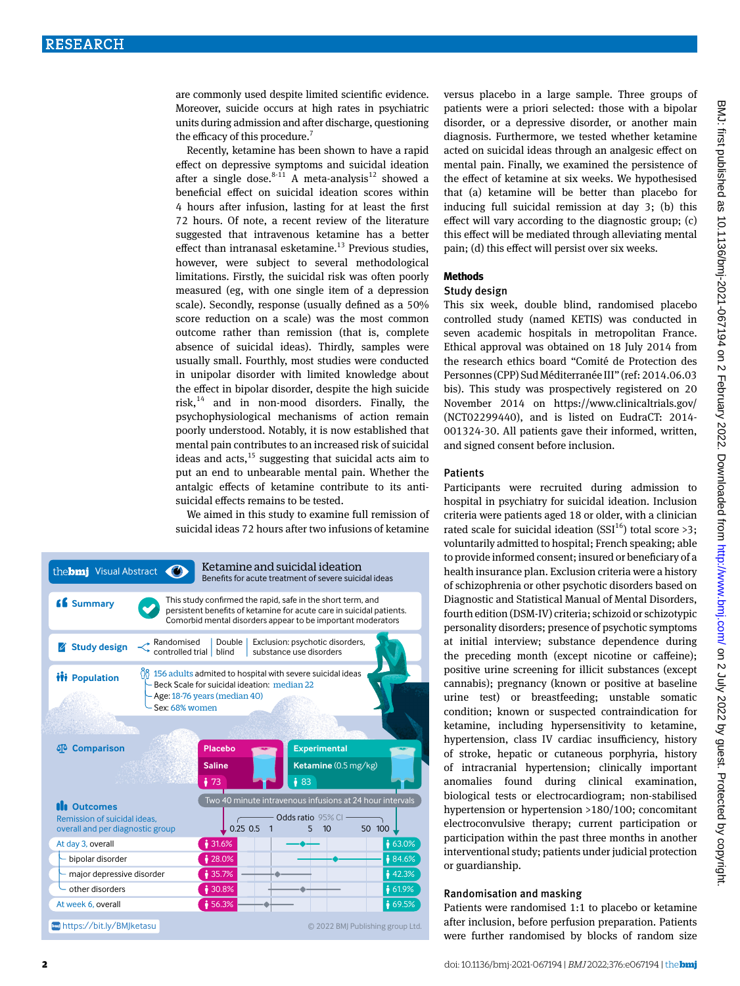are commonly used despite limited scientific evidence. Moreover, suicide occurs at high rates in psychiatric units during admission and after discharge, questioning the efficacy of this procedure.<sup>7</sup>

Recently, ketamine has been shown to have a rapid effect on depressive symptoms and suicidal ideation after a single dose.<sup>8-11</sup> A meta-analysis<sup>12</sup> showed a beneficial effect on suicidal ideation scores within 4 hours after infusion, lasting for at least the first 72 hours. Of note, a recent review of the literature suggested that intravenous ketamine has a better effect than intranasal esketamine. $13$  Previous studies, however, were subject to several methodological limitations. Firstly, the suicidal risk was often poorly measured (eg, with one single item of a depression scale). Secondly, response (usually defined as a 50% score reduction on a scale) was the most common outcome rather than remission (that is, complete absence of suicidal ideas). Thirdly, samples were usually small. Fourthly, most studies were conducted in unipolar disorder with limited knowledge about the effect in bipolar disorder, despite the high suicide risk, $14$  and in non-mood disorders. Finally, the psychophysiological mechanisms of action remain poorly understood. Notably, it is now established that mental pain contributes to an increased risk of suicidal ideas and  $acts$ ,<sup>15</sup> suggesting that suicidal acts aim to put an end to unbearable mental pain. Whether the antalgic effects of ketamine contribute to its antisuicidal effects remains to be tested.

We aimed in this study to examine full remission of suicidal ideas 72 hours after two infusions of ketamine

| the <b>bmi</b> Visual Abstract                                                                                                                                                                        |                                                     | Ketamine and suicidal ideation<br>Benefits for acute treatment of severe suicidal ideas                                                                                                            |  |  |
|-------------------------------------------------------------------------------------------------------------------------------------------------------------------------------------------------------|-----------------------------------------------------|----------------------------------------------------------------------------------------------------------------------------------------------------------------------------------------------------|--|--|
| <b>66</b> Summary                                                                                                                                                                                     |                                                     | This study confirmed the rapid, safe in the short term, and<br>persistent benefits of ketamine for acute care in suicidal patients.<br>Comorbid mental disorders appear to be important moderators |  |  |
| $\rightarrow$ Randomised<br><b>Study design</b><br>controlled trial                                                                                                                                   | Double<br>blind                                     | Exclusion: psychotic disorders,<br>substance use disorders                                                                                                                                         |  |  |
| $\frac{100}{100}$ 156 adults admited to hospital with severe suicidal ideas<br><b>ili</b> Population<br>Beck Scale for suicidal ideation: median 22<br>Age: 18-76 years (median 40)<br>Sex: 68% women |                                                     |                                                                                                                                                                                                    |  |  |
|                                                                                                                                                                                                       |                                                     |                                                                                                                                                                                                    |  |  |
| <b>SP</b> Comparison                                                                                                                                                                                  | <b>Placebo</b><br><b>Saline</b><br>$\frac{1}{2}$ 73 | <b>Experimental</b><br>Ketamine (0.5 mg/kg)<br>$\frac{1}{2}$ 83                                                                                                                                    |  |  |
| <b>III</b> Outcomes<br>Remission of suicidal ideas.<br>overall and per diagnostic group                                                                                                               | $0.25$ 0.5<br>1                                     | Two 40 minute intravenous infusions at 24 hour intervals<br>Odds ratio 95% CI<br>10<br>50 100<br>5                                                                                                 |  |  |
| At day 3, overall                                                                                                                                                                                     | 31.6%                                               | 63.0%                                                                                                                                                                                              |  |  |
| bipolar disorder                                                                                                                                                                                      | $\frac{1}{28.0\%}$                                  | 84.6%                                                                                                                                                                                              |  |  |
| major depressive disorder                                                                                                                                                                             | 35.7%                                               | 142.3%                                                                                                                                                                                             |  |  |
| other disorders                                                                                                                                                                                       | ₹30.8%                                              | 61.9%                                                                                                                                                                                              |  |  |
| At week 6, overall                                                                                                                                                                                    | \$56.3%                                             | ₹ 69.5%                                                                                                                                                                                            |  |  |
|                                                                                                                                                                                                       |                                                     |                                                                                                                                                                                                    |  |  |

versus placebo in a large sample. Three groups of patients were a priori selected: those with a bipolar disorder, or a depressive disorder, or another main diagnosis. Furthermore, we tested whether ketamine acted on suicidal ideas through an analgesic effect on mental pain. Finally, we examined the persistence of the effect of ketamine at six weeks. We hypothesised that (a) ketamine will be better than placebo for inducing full suicidal remission at day 3; (b) this effect will vary according to the diagnostic group; (c) this effect will be mediated through alleviating mental pain; (d) this effect will persist over six weeks.

#### **Methods**

#### Study design

This six week, double blind, randomised placebo controlled study (named KETIS) was conducted in seven academic hospitals in metropolitan France. Ethical approval was obtained on 18 July 2014 from the research ethics board "Comité de Protection des Personnes (CPP) Sud Méditerranée III" (ref: 2014.06.03 bis). This study was prospectively registered on 20 November 2014 on <https://www.clinicaltrials.gov/> (NCT02299440), and is listed on EudraCT: 2014- 001324-30. All patients gave their informed, written, and signed consent before inclusion.

#### Patients

Participants were recruited during admission to hospital in psychiatry for suicidal ideation. Inclusion criteria were patients aged 18 or older, with a clinician rated scale for suicidal ideation (SSI<sup>16</sup>) total score >3; voluntarily admitted to hospital; French speaking; able to provide informed consent; insured or beneficiary of a health insurance plan. Exclusion criteria were a history of schizophrenia or other psychotic disorders based on Diagnostic and Statistical Manual of Mental Disorders, fourth edition (DSM-IV) criteria; schizoid or schizotypic personality disorders; presence of psychotic symptoms at initial interview; substance dependence during the preceding month (except nicotine or caffeine); positive urine screening for illicit substances (except cannabis); pregnancy (known or positive at baseline urine test) or breastfeeding; unstable somatic condition; known or suspected contraindication for ketamine, including hypersensitivity to ketamine, hypertension, class IV cardiac insufficiency, history of stroke, hepatic or cutaneous porphyria, history of intracranial hypertension; clinically important anomalies found during clinical examination, biological tests or electrocardiogram; non-stabilised hypertension or hypertension >180/100; concomitant electroconvulsive therapy; current participation or participation within the past three months in another interventional study; patients under judicial protection or guardianship.

## Randomisation and masking

Patients were randomised 1:1 to placebo or ketamine after inclusion, before perfusion preparation. Patients were further randomised by blocks of random size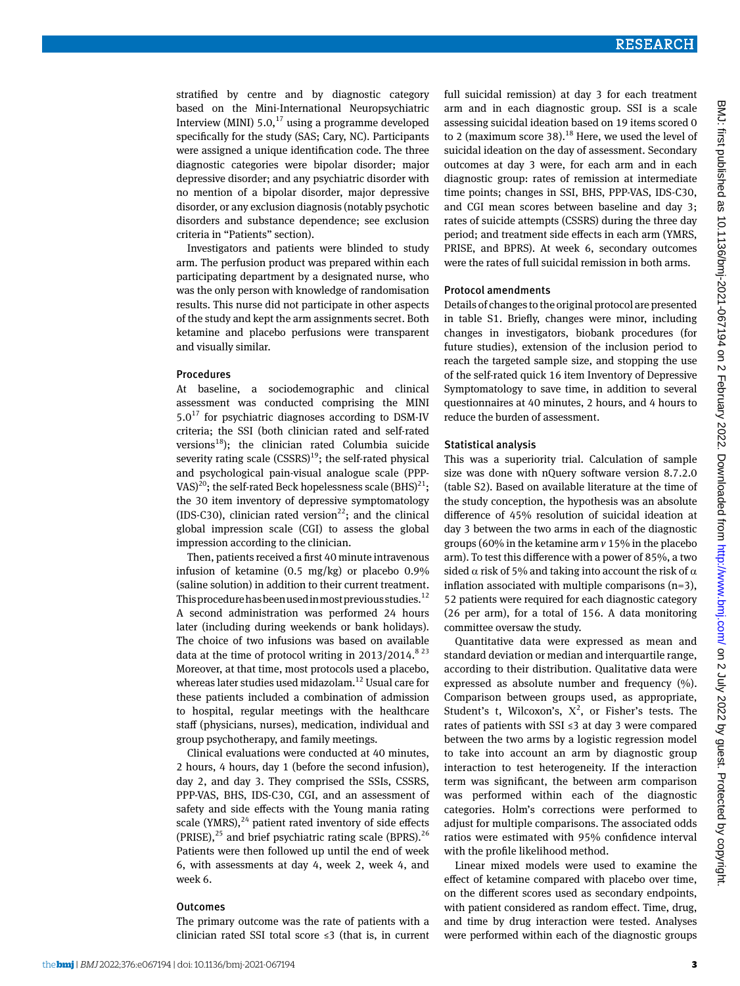stratified by centre and by diagnostic category based on the Mini-International Neuropsychiatric Interview (MINI)  $5.0$ ,<sup>17</sup> using a programme developed specifically for the study (SAS; Cary, NC). Participants were assigned a unique identification code. The three diagnostic categories were bipolar disorder; major depressive disorder; and any psychiatric disorder with no mention of a bipolar disorder, major depressive disorder, or any exclusion diagnosis (notably psychotic disorders and substance dependence; see exclusion criteria in "Patients" section).

Investigators and patients were blinded to study arm. The perfusion product was prepared within each participating department by a designated nurse, who was the only person with knowledge of randomisation results. This nurse did not participate in other aspects of the study and kept the arm assignments secret. Both ketamine and placebo perfusions were transparent and visually similar.

#### Procedures

At baseline, a sociodemographic and clinical assessment was conducted comprising the MINI  $5.0^{17}$  for psychiatric diagnoses according to DSM-IV criteria; the SSI (both clinician rated and self-rated versions $^{18}$ ); the clinician rated Columbia suicide severity rating scale  $(CSSRS)^{19}$ ; the self-rated physical and psychological pain-visual analogue scale (PPP-VAS)<sup>20</sup>; the self-rated Beck hopelessness scale  $(BHS)^{21}$ ; the 30 item inventory of depressive symptomatology (IDS-C30), clinician rated version<sup>22</sup>; and the clinical global impression scale (CGI) to assess the global impression according to the clinician.

Then, patients received a first 40 minute intravenous infusion of ketamine (0.5 mg/kg) or placebo 0.9% (saline solution) in addition to their current treatment. This procedure has been used in most previous studies.<sup>12</sup> A second administration was performed 24 hours later (including during weekends or bank holidays). The choice of two infusions was based on available data at the time of protocol writing in  $2013/2014$ .<sup>8 23</sup> Moreover, at that time, most protocols used a placebo, whereas later studies used midazolam.<sup>12</sup> Usual care for these patients included a combination of admission to hospital, regular meetings with the healthcare staff (physicians, nurses), medication, individual and group psychotherapy, and family meetings.

Clinical evaluations were conducted at 40 minutes, 2 hours, 4 hours, day 1 (before the second infusion), day 2, and day 3. They comprised the SSIs, CSSRS, PPP-VAS, BHS, IDS-C30, CGI, and an assessment of safety and side effects with the Young mania rating scale (YMRS), $^{24}$  patient rated inventory of side effects (PRISE), $^{25}$  and brief psychiatric rating scale (BPRS).<sup>26</sup> Patients were then followed up until the end of week 6, with assessments at day 4, week 2, week 4, and week 6.

#### **Outcomes**

The primary outcome was the rate of patients with a clinician rated SSI total score ≤3 (that is, in current full suicidal remission) at day 3 for each treatment arm and in each diagnostic group. SSI is a scale assessing suicidal ideation based on 19 items scored 0 to 2 (maximum score 38). $18$  Here, we used the level of suicidal ideation on the day of assessment. Secondary outcomes at day 3 were, for each arm and in each diagnostic group: rates of remission at intermediate time points; changes in SSI, BHS, PPP-VAS, IDS-C30, and CGI mean scores between baseline and day 3; rates of suicide attempts (CSSRS) during the three day period; and treatment side effects in each arm (YMRS, PRISE, and BPRS). At week 6, secondary outcomes were the rates of full suicidal remission in both arms.

#### Protocol amendments

Details of changes to the original protocol are presented in table S1. Briefly, changes were minor, including changes in investigators, biobank procedures (for future studies), extension of the inclusion period to reach the targeted sample size, and stopping the use of the self-rated quick 16 item Inventory of Depressive Symptomatology to save time, in addition to several questionnaires at 40 minutes, 2 hours, and 4 hours to reduce the burden of assessment.

#### Statistical analysis

This was a superiority trial. Calculation of sample size was done with nQuery software version 8.7.2.0 (table S2). Based on available literature at the time of the study conception, the hypothesis was an absolute difference of 45% resolution of suicidal ideation at day 3 between the two arms in each of the diagnostic groups (60% in the ketamine arm *v* 15% in the placebo arm). To test this difference with a power of 85%, a two sided  $\alpha$  risk of 5% and taking into account the risk of  $\alpha$ inflation associated with multiple comparisons  $(n=3)$ , 52 patients were required for each diagnostic category (26 per arm), for a total of 156. A data monitoring committee oversaw the study.

Quantitative data were expressed as mean and standard deviation or median and interquartile range, according to their distribution. Qualitative data were expressed as absolute number and frequency  $(\%).$ Comparison between groups used, as appropriate, Student's t, Wilcoxon's,  $X^2$ , or Fisher's tests. The rates of patients with SSI ≤3 at day 3 were compared between the two arms by a logistic regression model to take into account an arm by diagnostic group interaction to test heterogeneity. If the interaction term was significant, the between arm comparison was performed within each of the diagnostic categories. Holm's corrections were performed to adjust for multiple comparisons. The associated odds ratios were estimated with 95% confidence interval with the profile likelihood method.

Linear mixed models were used to examine the effect of ketamine compared with placebo over time, on the different scores used as secondary endpoints, with patient considered as random effect. Time, drug, and time by drug interaction were tested. Analyses were performed within each of the diagnostic groups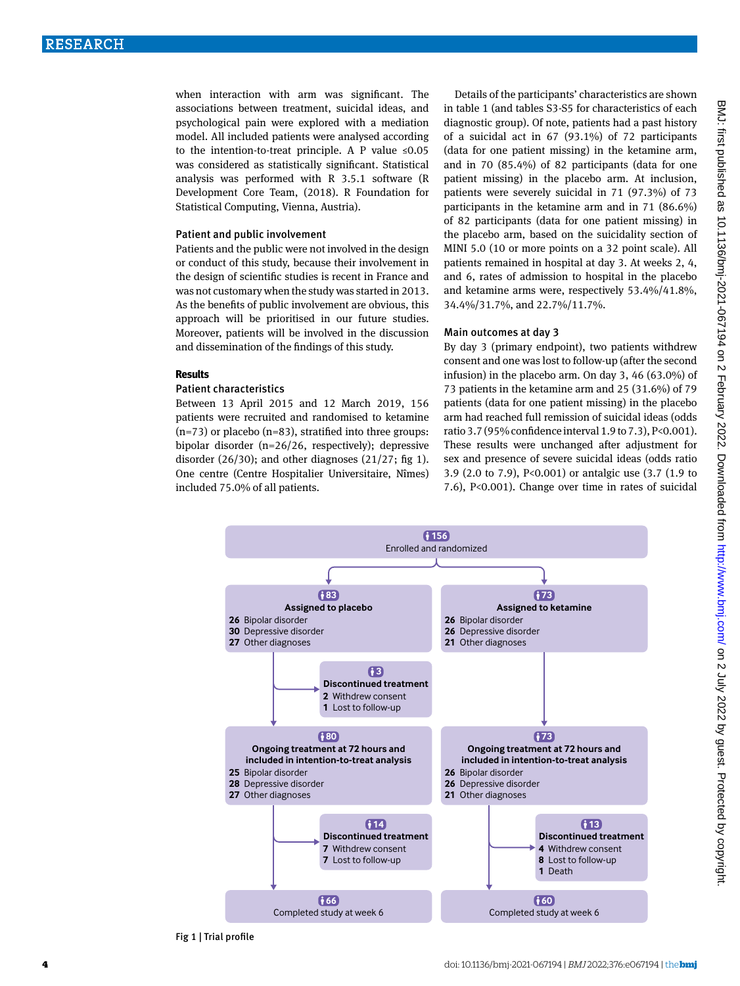when interaction with arm was significant. The associations between treatment, suicidal ideas, and psychological pain were explored with a mediation model. All included patients were analysed according to the intention-to-treat principle. A P value  $\leq 0.05$ was considered as statistically significant. Statistical analysis was performed with R 3.5.1 software (R Development Core Team, (2018). R Foundation for Statistical Computing, Vienna, Austria).

#### Patient and public involvement

Patients and the public were not involved in the design or conduct of this study, because their involvement in the design of scientific studies is recent in France and was not customary when the study was started in 2013. As the benefits of public involvement are obvious, this approach will be prioritised in our future studies. Moreover, patients will be involved in the discussion and dissemination of the findings of this study.

#### **Results**

#### Patient characteristics

Between 13 April 2015 and 12 March 2019, 156 patients were recruited and randomised to ketamine  $(n=73)$  or placebo  $(n=83)$ , stratified into three groups: bipolar disorder (n=26/26, respectively); depressive disorder (26/30); and other diagnoses (21/27; fig 1). One centre (Centre Hospitalier Universitaire, Nîmes) included 75.0% of all patients.

Details of the participants' characteristics are shown in table 1 (and tables S3-S5 for characteristics of each diagnostic group). Of note, patients had a past history of a suicidal act in 67 (93.1%) of 72 participants (data for one patient missing) in the ketamine arm, and in 70 (85.4%) of 82 participants (data for one patient missing) in the placebo arm. At inclusion, patients were severely suicidal in 71 (97.3%) of 73 participants in the ketamine arm and in 71 (86.6%) of 82 participants (data for one patient missing) in the placebo arm, based on the suicidality section of MINI 5.0 (10 or more points on a 32 point scale). All patients remained in hospital at day 3. At weeks 2, 4, and 6, rates of admission to hospital in the placebo and ketamine arms were, respectively 53.4%/41.8%, 34.4%/31.7%, and 22.7%/11.7%.

#### Main outcomes at day 3

By day 3 (primary endpoint), two patients withdrew consent and one was lost to follow-up (after the second infusion) in the placebo arm. On day 3, 46 (63.0%) of 73 patients in the ketamine arm and 25 (31.6%) of 79 patients (data for one patient missing) in the placebo arm had reached full remission of suicidal ideas (odds ratio 3.7 (95% confidence interval 1.9 to 7.3), P<0.001). These results were unchanged after adjustment for sex and presence of severe suicidal ideas (odds ratio 3.9 (2.0 to 7.9), P<0.001) or antalgic use (3.7 (1.9 to 7.6), P<0.001). Change over time in rates of suicidal



Fig 1 | Trial profile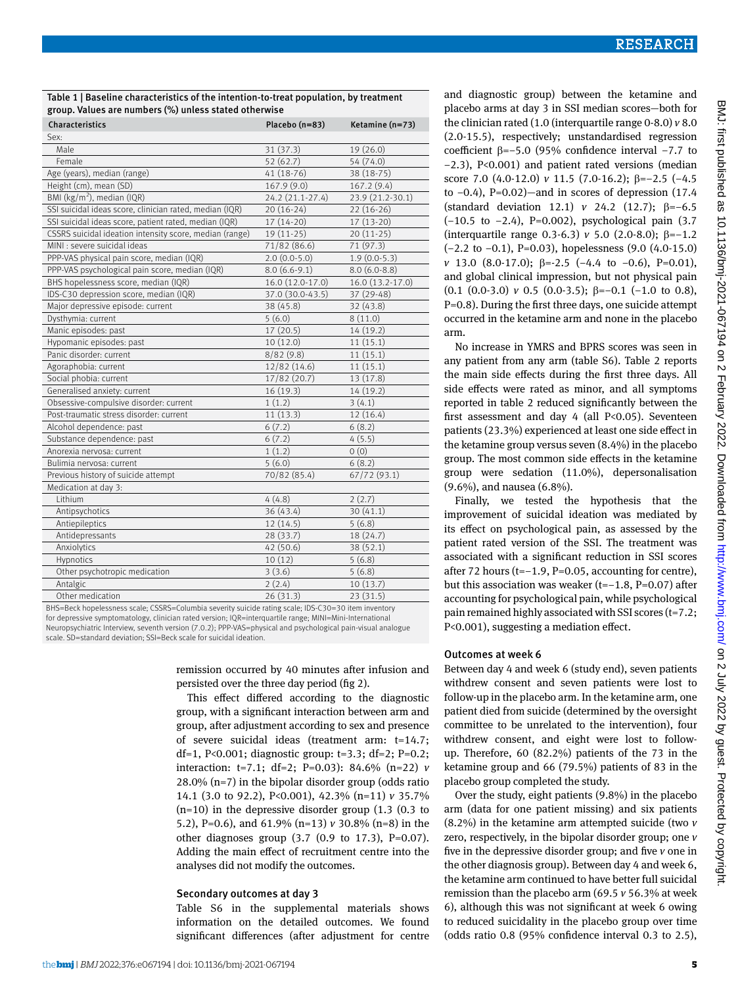Table 1 | Baseline characteristics of the intention-to-treat population, by treatment group. Values are numbers (%) unless stated otherwise

| Characteristics                                         | Placebo (n=83)   | Ketamine (n=73)  |
|---------------------------------------------------------|------------------|------------------|
| Sex:                                                    |                  |                  |
| Male                                                    | 31 (37.3)        | 19 (26.0)        |
| Female                                                  | 52(62.7)         | 54 (74.0)        |
| Age (years), median (range)                             | 41 (18-76)       | 38 (18-75)       |
| Height (cm), mean (SD)                                  | 167.9 (9.0)      | 167.2 (9.4)      |
| BMI (kg/m <sup>2</sup> ), median (IQR)                  | 24.2 (21.1-27.4) | 23.9 (21.2-30.1) |
| SSI suicidal ideas score, clinician rated, median (IQR) | $20(16-24)$      | $22(16-26)$      |
| SSI suicidal ideas score, patient rated, median (IQR)   | $17(14-20)$      | 17 (13-20)       |
| CSSRS suicidal ideation intensity score, median (range) | $19(11-25)$      | $20(11-25)$      |
| MINI : severe suicidal ideas                            | 71/82 (86.6)     | 71 (97.3)        |
| PPP-VAS physical pain score, median (IQR)               | $2.0(0.0-5.0)$   | $1.9(0.0-5.3)$   |
| PPP-VAS psychological pain score, median (IQR)          | $8.0(6.6-9.1)$   | $8.0(6.0-8.8)$   |
| BHS hopelessness score, median (IQR)                    | 16.0 (12.0-17.0) | 16.0 (13.2-17.0) |
| IDS-C30 depression score, median (IQR)                  | 37.0 (30.0-43.5) | 37 (29-48)       |
| Major depressive episode: current                       | 38 (45.8)        | 32(43.8)         |
| Dysthymia: current                                      | 5(6.0)           | 8(11.0)          |
| Manic episodes: past                                    | 17(20.5)         | 14 (19.2)        |
| Hypomanic episodes: past                                | 10(12.0)         | 11(15.1)         |
| Panic disorder: current                                 | 8/82(9.8)        | 11(15.1)         |
| Agoraphobia: current                                    | 12/82 (14.6)     | 11(15.1)         |
| Social phobia: current                                  | 17/82 (20.7)     | 13 (17.8)        |
| Generalised anxiety: current                            | 16(19.3)         | 14 (19.2)        |
| Obsessive-compulsive disorder: current                  | 1(1.2)           | 3(4.1)           |
| Post-traumatic stress disorder: current                 | 11(13.3)         | 12 (16.4)        |
| Alcohol dependence: past                                | 6(7.2)           | 6(8.2)           |
| Substance dependence: past                              | 6(7.2)           | 4(5.5)           |
| Anorexia nervosa: current                               | 1(1.2)           | 0(0)             |
| Bulimia nervosa: current                                | 5(6.0)           | 6(8.2)           |
| Previous history of suicide attempt                     | 70/82 (85.4)     | 67/72 (93.1)     |
| Medication at day 3:                                    |                  |                  |
| Lithium                                                 | 4(4.8)           | 2(2.7)           |
| Antipsychotics                                          | 36 (43.4)        | 30(41.1)         |
| Antiepileptics                                          | 12(14.5)         | 5(6.8)           |
| Antidepressants                                         | 28 (33.7)        | 18 (24.7)        |
| Anxiolytics                                             | 42 (50.6)        | 38 (52.1)        |
| Hypnotics                                               | 10(12)           | 5(6.8)           |
| Other psychotropic medication                           | 3(3.6)           | 5(6.8)           |
| Antalgic                                                | 2(2.4)           | 10(13.7)         |
| Other medication                                        | 26 (31.3)        | 23 (31.5)        |

BHS=Beck hopelessness scale; CSSRS=Columbia severity suicide rating scale; IDS-C30=30 item inventory for depressive symptomatology, clinician rated version; IQR=interquartile range; MINI=Mini-International Neuropsychiatric Interview, seventh version (7.0.2); PPP-VAS=physical and psychological pain-visual analogue scale. SD=standard deviation; SSI=Beck scale for suicidal ideation.

> remission occurred by 40 minutes after infusion and persisted over the three day period (fig 2).

This effect differed according to the diagnostic group, with a significant interaction between arm and group, after adjustment according to sex and presence of severe suicidal ideas (treatment arm: t=14.7; df=1, P<0.001; diagnostic group: t=3.3; df=2; P=0.2; interaction: t=7.1; df=2; P=0.03): 84.6% (n=22) *v* 28.0% (n=7) in the bipolar disorder group (odds ratio 14.1 (3.0 to 92.2), P<0.001), 42.3% (n=11) *v* 35.7% (n=10) in the depressive disorder group (1.3 (0.3 to 5.2), P=0.6), and 61.9% (n=13) *v* 30.8% (n=8) in the other diagnoses group  $(3.7 \ (0.9 \ to \ 17.3), \ P=0.07)$ . Adding the main effect of recruitment centre into the analyses did not modify the outcomes.

#### Secondary outcomes at day 3

Table S6 in the supplemental materials shows information on the detailed outcomes. We found significant differences (after adjustment for centre and diagnostic group) between the ketamine and placebo arms at day 3 in SSI median scores—both for the clinician rated (1.0 (interquartile range 0-8.0) *v* 8.0 (2.0-15.5), respectively; unstandardised regression coefficient β=−5.0 (95% confidence interval −7.7 to −2.3), P<0.001) and patient rated versions (median score 7.0 (4.0-12.0) *ν* 11.5 (7.0-16.2); β=−2.5 (-4.5 to  $-0.4$ ), P=0.02)—and in scores of depression (17.4 (standard deviation 12.1) *v* 24.2 (12.7); β=−6.5 (−10.5 to −2.4), P=0.002), psychological pain (3.7 (interquartile range 0.3-6.3) *v* 5.0 (2.0-8.0); β=−1.2 (−2.2 to −0.1), P=0.03), hopelessness (9.0 (4.0-15.0) *v* 13.0 (8.0-17.0); β=-2.5 (−4.4 to −0.6), P=0.01), and global clinical impression, but not physical pain (0.1 (0.0-3.0)  $\nu$  0.5 (0.0-3.5);  $\beta$ =-0.1 (-1.0 to 0.8), P=0.8). During the first three days, one suicide attempt occurred in the ketamine arm and none in the placebo arm.

No increase in YMRS and BPRS scores was seen in any patient from any arm (table S6). Table 2 reports the main side effects during the first three days. All side effects were rated as minor, and all symptoms reported in table 2 reduced significantly between the first assessment and day  $4$  (all P<0.05). Seventeen patients (23.3%) experienced at least one side effect in the ketamine group versus seven (8.4%) in the placebo group. The most common side effects in the ketamine group were sedation (11.0%), depersonalisation (9.6%), and nausea (6.8%).

Finally, we tested the hypothesis that the improvement of suicidal ideation was mediated by its effect on psychological pain, as assessed by the patient rated version of the SSI. The treatment was associated with a significant reduction in SSI scores after 72 hours (t=−1.9, P=0.05, accounting for centre), but this association was weaker (t=−1.8, P=0.07) after accounting for psychological pain, while psychological pain remained highly associated with SSI scores (t=7.2; P<0.001), suggesting a mediation effect.

#### Outcomes at week 6

Between day 4 and week 6 (study end), seven patients withdrew consent and seven patients were lost to follow-up in the placebo arm. In the ketamine arm, one patient died from suicide (determined by the oversight committee to be unrelated to the intervention), four withdrew consent, and eight were lost to followup. Therefore, 60 (82.2%) patients of the 73 in the ketamine group and 66 (79.5%) patients of 83 in the placebo group completed the study.

Over the study, eight patients (9.8%) in the placebo arm (data for one patient missing) and six patients (8.2%) in the ketamine arm attempted suicide (two *v* zero, respectively, in the bipolar disorder group; one *v* five in the depressive disorder group; and five *v* one in the other diagnosis group). Between day 4 and week 6, the ketamine arm continued to have better full suicidal remission than the placebo arm (69.5 *v* 56.3% at week 6), although this was not significant at week 6 owing to reduced suicidality in the placebo group over time (odds ratio 0.8 (95% confidence interval 0.3 to 2.5),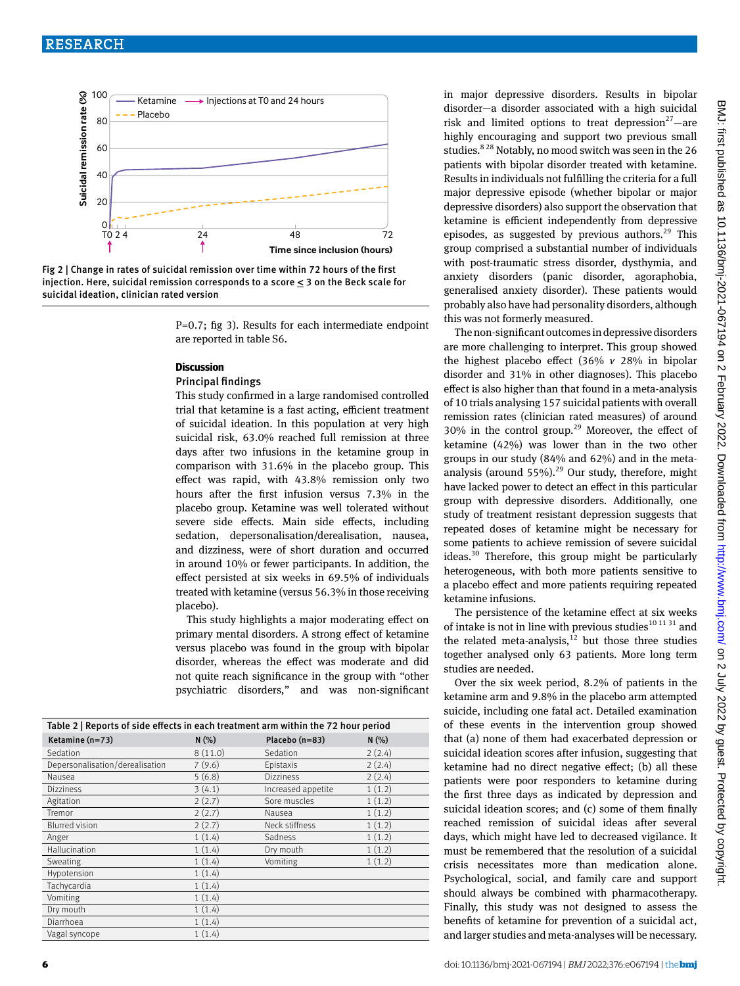



P=0.7; fig 3). Results for each intermediate endpoint are reported in table S6.

#### **Discussion**

#### Principal findings

This study confirmed in a large randomised controlled trial that ketamine is a fast acting, efficient treatment of suicidal ideation. In this population at very high suicidal risk, 63.0% reached full remission at three days after two infusions in the ketamine group in comparison with 31.6% in the placebo group. This effect was rapid, with 43.8% remission only two hours after the first infusion versus 7.3% in the placebo group. Ketamine was well tolerated without severe side effects. Main side effects, including sedation, depersonalisation/derealisation, nausea, and dizziness, were of short duration and occurred in around 10% or fewer participants. In addition, the effect persisted at six weeks in 69.5% of individuals treated with ketamine (versus 56.3% in those receiving placebo).

This study highlights a major moderating effect on primary mental disorders. A strong effect of ketamine versus placebo was found in the group with bipolar disorder, whereas the effect was moderate and did not quite reach significance in the group with "other psychiatric disorders," and was non-significant

| Table 2   Reports of side effects in each treatment arm within the 72 hour period |         |                    |        |  |  |
|-----------------------------------------------------------------------------------|---------|--------------------|--------|--|--|
| Ketamine (n=73)                                                                   | N(% )   | Placebo (n=83)     | N(% )  |  |  |
| Sedation                                                                          | 8(11.0) | Sedation           | 2(2.4) |  |  |
| Depersonalisation/derealisation                                                   | 7(9.6)  | Epistaxis          | 2(2.4) |  |  |
| Nausea                                                                            | 5(6.8)  | <b>Dizziness</b>   | 2(2.4) |  |  |
| <b>Dizziness</b>                                                                  | 3(4.1)  | Increased appetite | 1(1.2) |  |  |
| Agitation                                                                         | 2(2.7)  | Sore muscles       | 1(1.2) |  |  |
| Tremor                                                                            | 2(2.7)  | Nausea             | 1(1.2) |  |  |
| <b>Blurred vision</b>                                                             | 2(2.7)  | Neck stiffness     | 1(1.2) |  |  |
| Anger                                                                             | 1(1.4)  | Sadness            | 1(1.2) |  |  |
| Hallucination                                                                     | 1(1.4)  | Dry mouth          | 1(1.2) |  |  |
| Sweating                                                                          | 1(1.4)  | Vomiting           | 1(1.2) |  |  |
| Hypotension                                                                       | 1(1.4)  |                    |        |  |  |
| Tachycardia                                                                       | 1(1.4)  |                    |        |  |  |
| Vomiting                                                                          | 1(1.4)  |                    |        |  |  |
| Dry mouth                                                                         | 1(1.4)  |                    |        |  |  |
| Diarrhoea                                                                         | 1(1.4)  |                    |        |  |  |
| Vagal syncope                                                                     | 1(1.4)  |                    |        |  |  |

in major depressive disorders. Results in bipolar disorder—a disorder associated with a high suicidal risk and limited options to treat depression<sup>27</sup> $-$ are highly encouraging and support two previous small studies.<sup>828</sup> Notably, no mood switch was seen in the 26 patients with bipolar disorder treated with ketamine. Results in individuals not fulfilling the criteria for a full major depressive episode (whether bipolar or major depressive disorders) also support the observation that ketamine is efficient independently from depressive episodes, as suggested by previous authors.<sup>29</sup> This group comprised a substantial number of individuals with post-traumatic stress disorder, dysthymia, and anxiety disorders (panic disorder, agoraphobia, generalised anxiety disorder). These patients would probably also have had personality disorders, although this was not formerly measured.

The non-significant outcomes in depressive disorders are more challenging to interpret. This group showed the highest placebo effect (36% *v* 28% in bipolar disorder and 31% in other diagnoses). This placebo effect is also higher than that found in a meta-analysis of 10 trials analysing 157 suicidal patients with overall remission rates (clinician rated measures) of around  $30\%$  in the control group.<sup>29</sup> Moreover, the effect of ketamine (42%) was lower than in the two other groups in our study (84% and 62%) and in the metaanalysis (around  $55\%$ ).<sup>29</sup> Our study, therefore, might have lacked power to detect an effect in this particular group with depressive disorders. Additionally, one study of treatment resistant depression suggests that repeated doses of ketamine might be necessary for some patients to achieve remission of severe suicidal ideas.<sup>30</sup> Therefore, this group might be particularly heterogeneous, with both more patients sensitive to a placebo effect and more patients requiring repeated ketamine infusions.

The persistence of the ketamine effect at six weeks of intake is not in line with previous studies  $^{\rm 10\,11\,31}$  and the related meta-analysis, $12$  but those three studies together analysed only 63 patients. More long term studies are needed.

Over the six week period, 8.2% of patients in the ketamine arm and 9.8% in the placebo arm attempted suicide, including one fatal act. Detailed examination of these events in the intervention group showed that (a) none of them had exacerbated depression or suicidal ideation scores after infusion, suggesting that ketamine had no direct negative effect; (b) all these patients were poor responders to ketamine during the first three days as indicated by depression and suicidal ideation scores; and (c) some of them finally reached remission of suicidal ideas after several days, which might have led to decreased vigilance. It must be remembered that the resolution of a suicidal crisis necessitates more than medication alone. Psychological, social, and family care and support should always be combined with pharmacotherapy. Finally, this study was not designed to assess the benefits of ketamine for prevention of a suicidal act, and larger studies and meta-analyses will be necessary.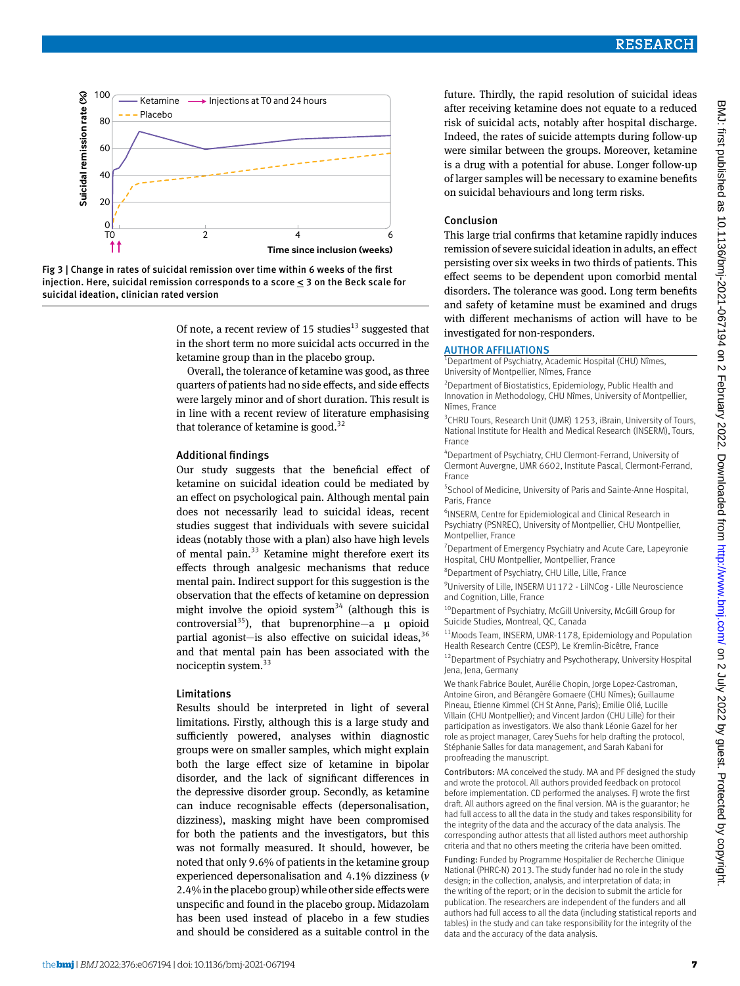



Of note, a recent review of 15 studies<sup>13</sup> suggested that in the short term no more suicidal acts occurred in the ketamine group than in the placebo group.

Overall, the tolerance of ketamine was good, as three quarters of patients had no side effects, and side effects were largely minor and of short duration. This result is in line with a recent review of literature emphasising that tolerance of ketamine is good.<sup>32</sup>

#### Additional findings

Our study suggests that the beneficial effect of ketamine on suicidal ideation could be mediated by an effect on psychological pain. Although mental pain does not necessarily lead to suicidal ideas, recent studies suggest that individuals with severe suicidal ideas (notably those with a plan) also have high levels of mental pain.<sup>33</sup> Ketamine might therefore exert its effects through analgesic mechanisms that reduce mental pain. Indirect support for this suggestion is the observation that the effects of ketamine on depression might involve the opioid system<sup>34</sup> (although this is controversial<sup>35</sup>), that buprenorphine—a  $\mu$  opioid partial agonist—is also effective on suicidal ideas,  $36$ and that mental pain has been associated with the nociceptin system.<sup>33</sup>

#### Limitations

Results should be interpreted in light of several limitations. Firstly, although this is a large study and sufficiently powered, analyses within diagnostic groups were on smaller samples, which might explain both the large effect size of ketamine in bipolar disorder, and the lack of significant differences in the depressive disorder group. Secondly, as ketamine can induce recognisable effects (depersonalisation, dizziness), masking might have been compromised for both the patients and the investigators, but this was not formally measured. It should, however, be noted that only 9.6% of patients in the ketamine group experienced depersonalisation and 4.1% dizziness (*v* 2.4% in the placebo group) while other side effects were unspecific and found in the placebo group. Midazolam has been used instead of placebo in a few studies and should be considered as a suitable control in the future. Thirdly, the rapid resolution of suicidal ideas after receiving ketamine does not equate to a reduced risk of suicidal acts, notably after hospital discharge. Indeed, the rates of suicide attempts during follow-up were similar between the groups. Moreover, ketamine is a drug with a potential for abuse. Longer follow-up of larger samples will be necessary to examine benefits on suicidal behaviours and long term risks.

#### Conclusion

This large trial confirms that ketamine rapidly induces remission of severe suicidal ideation in adults, an effect persisting over six weeks in two thirds of patients. This effect seems to be dependent upon comorbid mental disorders. The tolerance was good. Long term benefits and safety of ketamine must be examined and drugs with different mechanisms of action will have to be investigated for non-responders.

#### **AUTHOR AFFILIATIONS**

<sup>1</sup>Department of Psychiatry, Academic Hospital (CHU) Nîmes, University of Montpellier, Nîmes, France

<sup>2</sup> Department of Biostatistics, Epidemiology, Public Health and Innovation in Methodology, CHU Nîmes, University of Montpellier, Nîmes, France

<sup>3</sup> CHRU Tours, Research Unit (UMR) 1253, iBrain, University of Tours, National Institute for Health and Medical Research (INSERM), Tours, France

4 Department of Psychiatry, CHU Clermont-Ferrand, University of Clermont Auvergne, UMR 6602, Institute Pascal, Clermont-Ferrand, France

5 School of Medicine, University of Paris and Sainte-Anne Hospital, Paris, France

6 INSERM, Centre for Epidemiological and Clinical Research in Psychiatry (PSNREC), University of Montpellier, CHU Montpellier, Montpellier, France

<sup>7</sup> Department of Emergency Psychiatry and Acute Care, Lapeyronie Hospital, CHU Montpellier, Montpellier, France

8 Department of Psychiatry, CHU Lille, Lille, France

<sup>9</sup>University of Lille, INSERM U1172 - LilNCog - Lille Neuroscience and Cognition, Lille, France

10Department of Psychiatry, McGill University, McGill Group for Suicide Studies, Montreal, QC, Canada

11Moods Team, INSERM, UMR-1178, Epidemiology and Population Health Research Centre (CESP), Le Kremlin-Bicêtre, France

<sup>12</sup> Department of Psychiatry and Psychotherapy, University Hospital Jena, Jena, Germany

We thank Fabrice Boulet, Aurélie Chopin, Jorge Lopez-Castroman, Antoine Giron, and Bérangère Gomaere (CHU Nîmes); Guillaume Pineau, Etienne Kimmel (CH St Anne, Paris); Emilie Olié, Lucille Villain (CHU Montpellier); and Vincent Jardon (CHU Lille) for their participation as investigators. We also thank Léonie Gazel for her role as project manager, Carey Suehs for help drafting the protocol, Stéphanie Salles for data management, and Sarah Kabani for proofreading the manuscript.

Contributors: MA conceived the study. MA and PF designed the study and wrote the protocol. All authors provided feedback on protocol before implementation. CD performed the analyses. FJ wrote the first draft. All authors agreed on the final version. MA is the guarantor; he had full access to all the data in the study and takes responsibility for the integrity of the data and the accuracy of the data analysis. The corresponding author attests that all listed authors meet authorship criteria and that no others meeting the criteria have been omitted.

Funding: Funded by Programme Hospitalier de Recherche Clinique National (PHRC-N) 2013. The study funder had no role in the study design; in the collection, analysis, and interpretation of data; in the writing of the report; or in the decision to submit the article for publication. The researchers are independent of the funders and all authors had full access to all the data (including statistical reports and tables) in the study and can take responsibility for the integrity of the data and the accuracy of the data analysis.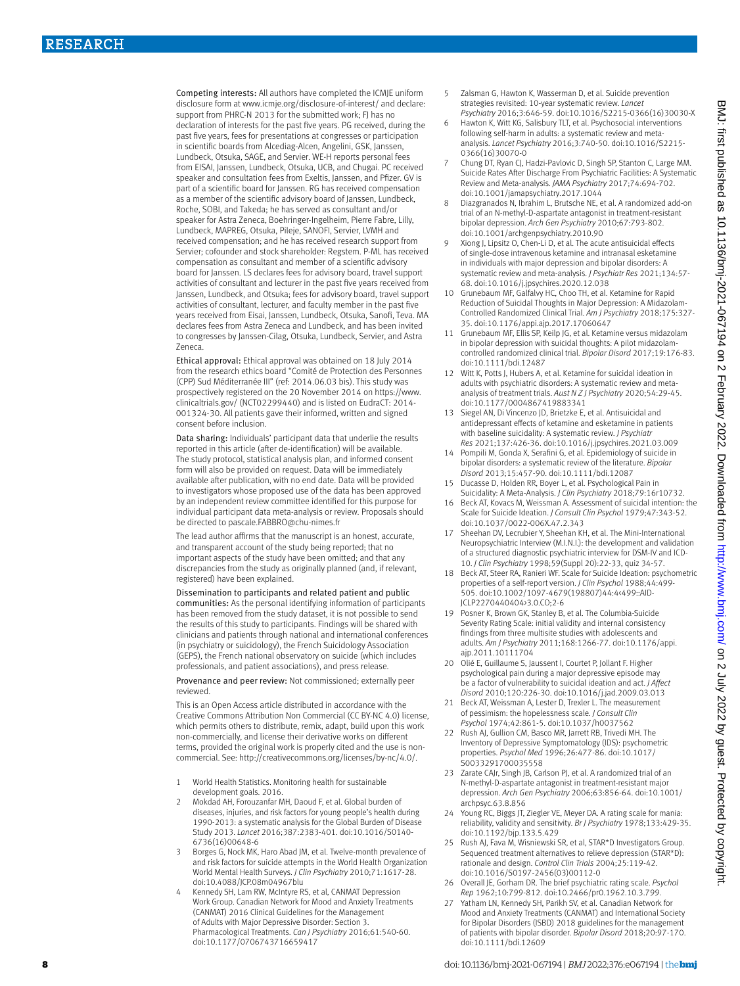Competing interests: All authors have completed the ICMJE uniform disclosure form at [www.icmje.org/disclosure-of-interest/](http://www.icmje.org/disclosure-of-interest/) and declare: support from PHRC-N 2013 for the submitted work: FI has no declaration of interests for the past five years. PG received, during the past five years, fees for presentations at congresses or participation in scientific boards from Alcediag-Alcen, Angelini, GSK, Janssen, Lundbeck, Otsuka, SAGE, and Servier. WE-H reports personal fees from EISAI, Janssen, Lundbeck, Otsuka, UCB, and Chugai. PC received speaker and consultation fees from Exeltis, Janssen, and Pfizer. GV is part of a scientific board for Janssen. RG has received compensation as a member of the scientific advisory board of Janssen, Lundbeck, Roche, SOBI, and Takeda; he has served as consultant and/or speaker for Astra Zeneca, Boehringer-Ingelheim, Pierre Fabre, Lilly, Lundbeck, MAPREG, Otsuka, Pileje, SANOFI, Servier, LVMH and received compensation; and he has received research support from Servier; cofounder and stock shareholder: Regstem. P-ML has received compensation as consultant and member of a scientific advisory board for Janssen. LS declares fees for advisory board, travel support activities of consultant and lecturer in the past five years received from Janssen, Lundbeck, and Otsuka; fees for advisory board, travel support activities of consultant, lecturer, and faculty member in the past five years received from Eisai, Janssen, Lundbeck, Otsuka, Sanofi, Teva. MA declares fees from Astra Zeneca and Lundbeck, and has been invited to congresses by Janssen-Cilag, Otsuka, Lundbeck, Servier, and Astra Zeneca.

Ethical approval: Ethical approval was obtained on 18 July 2014 from the research ethics board "Comité de Protection des Personnes (CPP) Sud Méditerranée III" (ref: 2014.06.03 bis). This study was prospectively registered on the 20 November 2014 on [https://www.](https://www.clinicaltrials.gov/) [clinicaltrials.gov/](https://www.clinicaltrials.gov/) (NCT02299440) and is listed on EudraCT: 2014- 001324-30. All patients gave their informed, written and signed consent before inclusion.

Data sharing: Individuals' participant data that underlie the results reported in this article (after de-identification) will be available. The study protocol, statistical analysis plan, and informed consent form will also be provided on request. Data will be immediately available after publication, with no end date. Data will be provided to investigators whose proposed use of the data has been approved by an independent review committee identified for this purpose for individual participant data meta-analysis or review. Proposals should be directed to [pascale.FABBRO@chu-nimes.fr](mailto:pascale.FABBRO@chu-nimes.fr)

The lead author affirms that the manuscript is an honest, accurate, and transparent account of the study being reported; that no important aspects of the study have been omitted; and that any discrepancies from the study as originally planned (and, if relevant, registered) have been explained.

Dissemination to participants and related patient and public communities: As the personal identifying information of participants has been removed from the study dataset, it is not possible to send the results of this study to participants. Findings will be shared with clinicians and patients through national and international conferences (in psychiatry or suicidology), the French Suicidology Association (GEPS), the French national observatory on suicide (which includes professionals, and patient associations), and press release.

Provenance and peer review: Not commissioned; externally peer reviewed.

This is an Open Access article distributed in accordance with the Creative Commons Attribution Non Commercial (CC BY-NC 4.0) license, which permits others to distribute, remix, adapt, build upon this work non-commercially, and license their derivative works on different terms, provided the original work is properly cited and the use is noncommercial. See: [http://creativecommons.org/licenses/by-nc/4.0/.](http://creativecommons.org/licenses/by-nc/4.0/)

- 1 World Health Statistics. Monitoring health for sustainable development goals. 2016.
- 2 Mokdad AH, Forouzanfar MH, Daoud F, et al. Global burden of diseases, injuries, and risk factors for young people's health during 1990-2013: a systematic analysis for the Global Burden of Disease Study 2013. *Lancet* 2016;387:2383-401. doi:10.1016/S0140- 6736(16)00648-6
- 3 Borges G, Nock MK, Haro Abad JM, et al. Twelve-month prevalence of and risk factors for suicide attempts in the World Health Organization World Mental Health Surveys. *J Clin Psychiatry* 2010;71:1617-28. doi:10.4088/JCP.08m04967blu
- 4 Kennedy SH, Lam RW, McIntyre RS, et al, CANMAT Depression Work Group. Canadian Network for Mood and Anxiety Treatments (CANMAT) 2016 Clinical Guidelines for the Management of Adults with Major Depressive Disorder: Section 3. Pharmacological Treatments. *Can J Psychiatry* 2016;61:540-60. doi:10.1177/0706743716659417
- 5 Zalsman G, Hawton K, Wasserman D, et al. Suicide prevention strategies revisited: 10-year systematic review. *Lancet Psychiatry* 2016;3:646-59. doi:10.1016/S2215-0366(16)30030-X
- 6 Hawton K, Witt KG, Salisbury TLT, et al. Psychosocial interventions following self-harm in adults: a systematic review and metaanalysis. *Lancet Psychiatry* 2016;3:740-50. doi:10.1016/S2215- 0366(16)30070-0
- 7 Chung DT, Ryan CJ, Hadzi-Pavlovic D, Singh SP, Stanton C, Large MM. Suicide Rates After Discharge From Psychiatric Facilities: A Systematic Review and Meta-analysis. *JAMA Psychiatry* 2017;74:694-702. doi:10.1001/jamapsychiatry.2017.1044
- Diazgranados N, Ibrahim L, Brutsche NE, et al. A randomized add-on trial of an N-methyl-D-aspartate antagonist in treatment-resistant bipolar depression. *Arch Gen Psychiatry* 2010;67:793-802. doi:10.1001/archgenpsychiatry.2010.90
- Xiong J, Lipsitz O, Chen-Li D, et al. The acute antisuicidal effects of single-dose intravenous ketamine and intranasal esketamine in individuals with major depression and bipolar disorders: A systematic review and meta-analysis. *J Psychiatr Res* 2021;134:57- 68. doi:10.1016/j.jpsychires.2020.12.038
- 10 Grunebaum MF, Galfalvy HC, Choo TH, et al. Ketamine for Rapid Reduction of Suicidal Thoughts in Major Depression: A Midazolam-Controlled Randomized Clinical Trial. *Am J Psychiatry* 2018;175:327- 35. doi:10.1176/appi.ajp.2017.17060647
- 11 Grunebaum MF, Ellis SP, Keilp JG, et al. Ketamine versus midazolam in bipolar depression with suicidal thoughts: A pilot midazolamcontrolled randomized clinical trial. *Bipolar Disord* 2017;19:176-83. doi:10.1111/bdi.12487
- 12 Witt K, Potts J, Hubers A, et al. Ketamine for suicidal ideation in adults with psychiatric disorders: A systematic review and metaanalysis of treatment trials. *Aust N Z J Psychiatry* 2020;54:29-45. doi:10.1177/0004867419883341
- 13 Siegel AN, Di Vincenzo JD, Brietzke E, et al. Antisuicidal and antidepressant effects of ketamine and esketamine in patients with baseline suicidality: A systematic review. *J Psychiatr Res* 2021;137:426-36. doi:10.1016/j.jpsychires.2021.03.009
- 14 Pompili M, Gonda X, Serafini G, et al. Epidemiology of suicide in bipolar disorders: a systematic review of the literature. *Bipolar Disord* 2013;15:457-90. doi:10.1111/bdi.12087
- 15 Ducasse D, Holden RR, Boyer L, et al. Psychological Pain in Suicidality: A Meta-Analysis. *J Clin Psychiatry* 2018;79:16r10732.
- 16 Beck AT, Kovacs M, Weissman A. Assessment of suicidal intention: the Scale for Suicide Ideation. *J Consult Clin Psychol* 1979;47:343-52. doi:10.1037/0022-006X.47.2.343
- 17 Sheehan DV, Lecrubier Y, Sheehan KH, et al. The Mini-International Neuropsychiatric Interview (M.I.N.I.): the development and validation of a structured diagnostic psychiatric interview for DSM-IV and ICD-10. *J Clin Psychiatry* 1998;59(Suppl 20):22-33, quiz 34-57.
- 18 Beck AT, Steer RA, Ranieri WF. Scale for Suicide Ideation: psychometric properties of a self-report version. *J Clin Psychol* 1988;44:499- 505. doi:10.1002/1097-4679(198807)44:4<499::AID-JCLP2270440404>3.0.CO;2-6
- 19 Posner K, Brown GK, Stanley B, et al. The Columbia-Suicide Severity Rating Scale: initial validity and internal consistency findings from three multisite studies with adolescents and adults. *Am J Psychiatry* 2011;168:1266-77. doi:10.1176/appi. ajp.2011.10111704
- 20 Olié E, Guillaume S, Jaussent I, Courtet P, Jollant F. Higher psychological pain during a major depressive episode may be a factor of vulnerability to suicidal ideation and act. *J Affect Disord* 2010;120:226-30. doi:10.1016/j.jad.2009.03.013
- 21 Beck AT, Weissman A, Lester D, Trexler L, The measurement of pessimism: the hopelessness scale. *J Consult Clin Psychol* 1974;42:861-5. doi:10.1037/h0037562
- 22 Rush AJ, Gullion CM, Basco MR, Jarrett RB, Trivedi MH. The Inventory of Depressive Symptomatology (IDS): psychometric properties. *Psychol Med* 1996;26:477-86. doi:10.1017/ S0033291700035558
- 23 Zarate CAJr, Singh JB, Carlson PJ, et al. A randomized trial of an N-methyl-D-aspartate antagonist in treatment-resistant major depression. *Arch Gen Psychiatry* 2006;63:856-64. doi:10.1001/ archpsyc.63.8.856
- 24 Young RC, Biggs JT, Ziegler VE, Meyer DA. A rating scale for mania: reliability, validity and sensitivity. *Br J Psychiatry* 1978;133:429-35. doi:10.1192/bjp.133.5.429
- 25 Rush AJ, Fava M, Wisniewski SR, et al, STAR\*D Investigators Group. Sequenced treatment alternatives to relieve depression (STAR\*D): rationale and design. *Control Clin Trials* 2004;25:119-42. doi:10.1016/S0197-2456(03)00112-0
- 26 Overall JE, Gorham DR. The brief psychiatric rating scale. *Psychol Rep* 1962;10:799-812. doi:10.2466/pr0.1962.10.3.799.
- 27 Yatham LN, Kennedy SH, Parikh SV, et al. Canadian Network for Mood and Anxiety Treatments (CANMAT) and International Society for Bipolar Disorders (ISBD) 2018 guidelines for the management of patients with bipolar disorder. *Bipolar Disord* 2018;20:97-170. doi:10.1111/bdi.12609